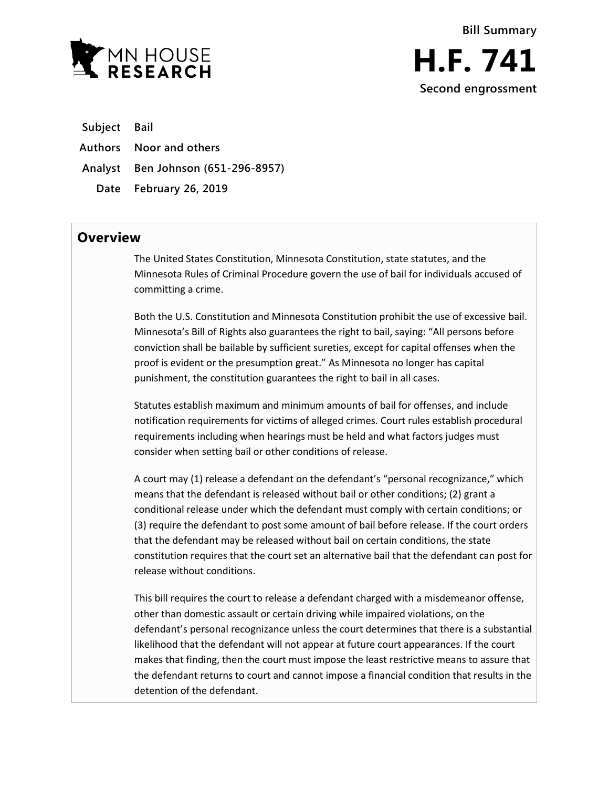

**Subject Bail**

**Authors Noor and others**

**Analyst Ben Johnson (651-296-8957)**

**Date February 26, 2019**

## **Overview**

The United States Constitution, Minnesota Constitution, state statutes, and the Minnesota Rules of Criminal Procedure govern the use of bail for individuals accused of committing a crime.

Both the U.S. Constitution and Minnesota Constitution prohibit the use of excessive bail. Minnesota's Bill of Rights also guarantees the right to bail, saying: "All persons before conviction shall be bailable by sufficient sureties, except for capital offenses when the proof is evident or the presumption great." As Minnesota no longer has capital punishment, the constitution guarantees the right to bail in all cases.

Statutes establish maximum and minimum amounts of bail for offenses, and include notification requirements for victims of alleged crimes. Court rules establish procedural requirements including when hearings must be held and what factors judges must consider when setting bail or other conditions of release.

A court may (1) release a defendant on the defendant's "personal recognizance," which means that the defendant is released without bail or other conditions; (2) grant a conditional release under which the defendant must comply with certain conditions; or (3) require the defendant to post some amount of bail before release. If the court orders that the defendant may be released without bail on certain conditions, the state constitution requires that the court set an alternative bail that the defendant can post for release without conditions.

This bill requires the court to release a defendant charged with a misdemeanor offense, other than domestic assault or certain driving while impaired violations, on the defendant's personal recognizance unless the court determines that there is a substantial likelihood that the defendant will not appear at future court appearances. If the court makes that finding, then the court must impose the least restrictive means to assure that the defendant returns to court and cannot impose a financial condition that results in the detention of the defendant.